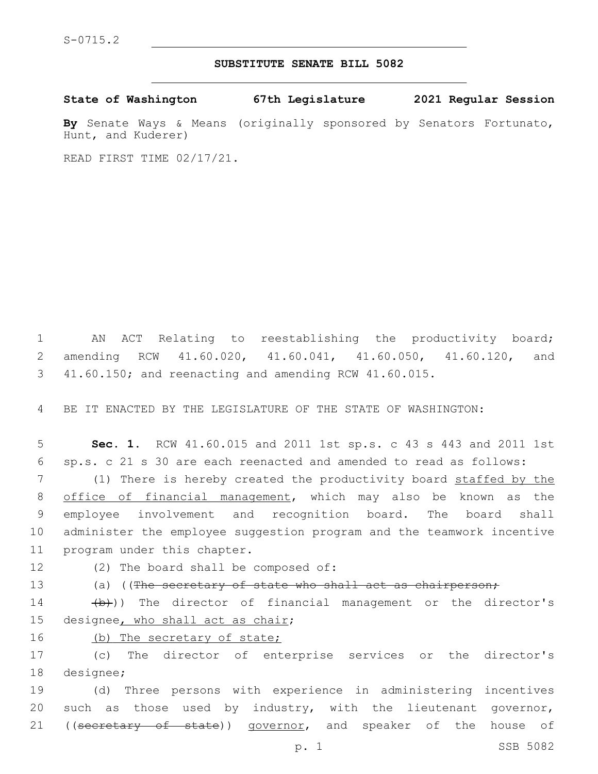## **SUBSTITUTE SENATE BILL 5082**

**State of Washington 67th Legislature 2021 Regular Session**

**By** Senate Ways & Means (originally sponsored by Senators Fortunato, Hunt, and Kuderer)

READ FIRST TIME 02/17/21.

1 AN ACT Relating to reestablishing the productivity board; 2 amending RCW 41.60.020, 41.60.041, 41.60.050, 41.60.120, and 3 41.60.150; and reenacting and amending RCW 41.60.015.

4 BE IT ENACTED BY THE LEGISLATURE OF THE STATE OF WASHINGTON:

5 **Sec. 1.** RCW 41.60.015 and 2011 1st sp.s. c 43 s 443 and 2011 1st 6 sp.s. c 21 s 30 are each reenacted and amended to read as follows:

7 (1) There is hereby created the productivity board staffed by the 8 office of financial management, which may also be known as the 9 employee involvement and recognition board. The board shall 10 administer the employee suggestion program and the teamwork incentive 11 program under this chapter.

## 12 (2) The board shall be composed of:

- 
- 13 (a) ((The secretary of state who shall act as chairperson;

14 (b)) The director of financial management or the director's 15 designee, who shall act as chair;

16 (b) The secretary of state;

17 (c) The director of enterprise services or the director's 18 designee;

19 (d) Three persons with experience in administering incentives 20 such as those used by industry, with the lieutenant governor, 21 ((secretary of state)) governor, and speaker of the house of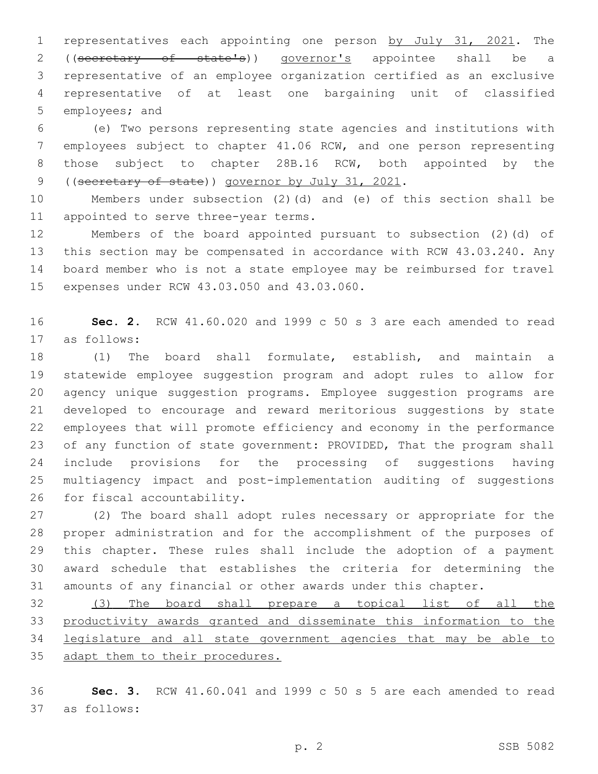representatives each appointing one person by July 31, 2021. The 2 ((secretary of state's)) governor's appointee shall be a representative of an employee organization certified as an exclusive representative of at least one bargaining unit of classified 5 employees; and

 (e) Two persons representing state agencies and institutions with employees subject to chapter 41.06 RCW, and one person representing those subject to chapter 28B.16 RCW, both appointed by the 9 ((secretary of state)) governor by July 31, 2021.

 Members under subsection (2)(d) and (e) of this section shall be 11 appointed to serve three-year terms.

 Members of the board appointed pursuant to subsection (2)(d) of this section may be compensated in accordance with RCW 43.03.240. Any board member who is not a state employee may be reimbursed for travel 15 expenses under RCW 43.03.050 and 43.03.060.

 **Sec. 2.** RCW 41.60.020 and 1999 c 50 s 3 are each amended to read as follows:17

 (1) The board shall formulate, establish, and maintain a statewide employee suggestion program and adopt rules to allow for agency unique suggestion programs. Employee suggestion programs are developed to encourage and reward meritorious suggestions by state employees that will promote efficiency and economy in the performance 23 of any function of state government: PROVIDED, That the program shall include provisions for the processing of suggestions having multiagency impact and post-implementation auditing of suggestions 26 for fiscal accountability.

 (2) The board shall adopt rules necessary or appropriate for the proper administration and for the accomplishment of the purposes of this chapter. These rules shall include the adoption of a payment award schedule that establishes the criteria for determining the amounts of any financial or other awards under this chapter.

 (3) The board shall prepare a topical list of all the productivity awards granted and disseminate this information to the legislature and all state government agencies that may be able to 35 adapt them to their procedures.

 **Sec. 3.** RCW 41.60.041 and 1999 c 50 s 5 are each amended to read as follows:37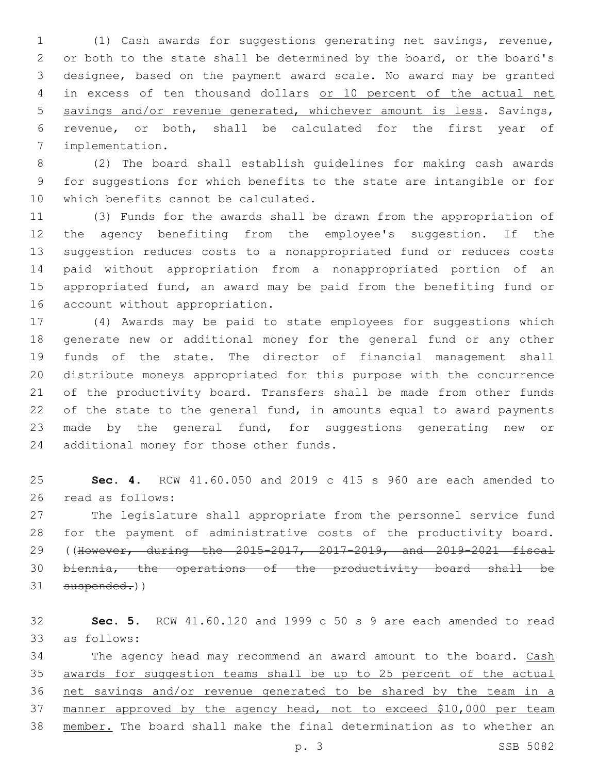(1) Cash awards for suggestions generating net savings, revenue, 2 or both to the state shall be determined by the board, or the board's designee, based on the payment award scale. No award may be granted in excess of ten thousand dollars or 10 percent of the actual net savings and/or revenue generated, whichever amount is less. Savings, revenue, or both, shall be calculated for the first year of implementation.7

 (2) The board shall establish guidelines for making cash awards for suggestions for which benefits to the state are intangible or for 10 which benefits cannot be calculated.

 (3) Funds for the awards shall be drawn from the appropriation of the agency benefiting from the employee's suggestion. If the suggestion reduces costs to a nonappropriated fund or reduces costs paid without appropriation from a nonappropriated portion of an appropriated fund, an award may be paid from the benefiting fund or 16 account without appropriation.

 (4) Awards may be paid to state employees for suggestions which generate new or additional money for the general fund or any other funds of the state. The director of financial management shall distribute moneys appropriated for this purpose with the concurrence of the productivity board. Transfers shall be made from other funds of the state to the general fund, in amounts equal to award payments made by the general fund, for suggestions generating new or 24 additional money for those other funds.

 **Sec. 4.** RCW 41.60.050 and 2019 c 415 s 960 are each amended to 26 read as follows:

 The legislature shall appropriate from the personnel service fund for the payment of administrative costs of the productivity board. ((However, during the 2015-2017, 2017-2019, and 2019-2021 fiscal biennia, the operations of the productivity board shall be 31 suspended.))

 **Sec. 5.** RCW 41.60.120 and 1999 c 50 s 9 are each amended to read as follows:33

34 The agency head may recommend an award amount to the board. Cash awards for suggestion teams shall be up to 25 percent of the actual net savings and/or revenue generated to be shared by the team in a manner approved by the agency head, not to exceed \$10,000 per team member. The board shall make the final determination as to whether an

p. 3 SSB 5082